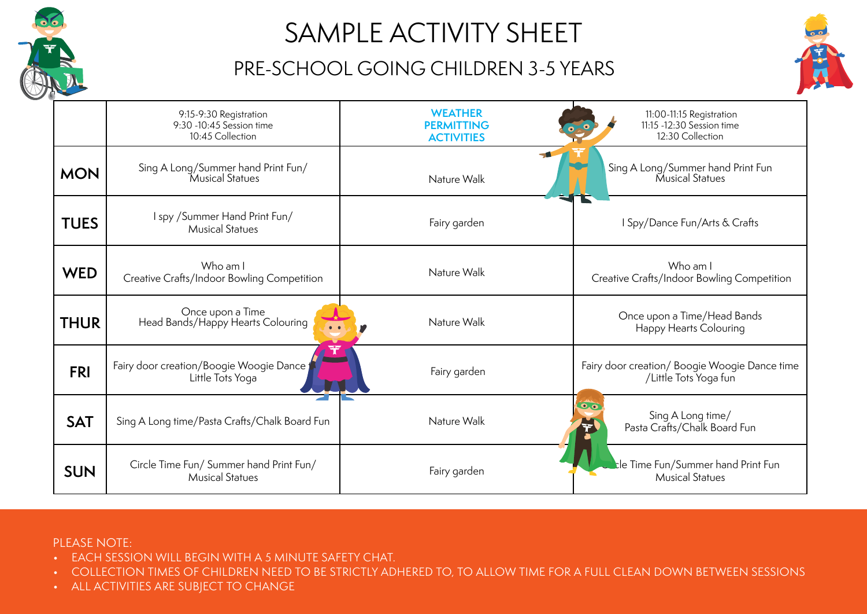

# SAMPLE ACTIVITY SHEET

### PRE-SCHOOL GOING CHILDREN 3-5 YEARS



|             | 9:15-9:30 Registration<br>9:30 -10:45 Session time<br>10:45 Collection | <b>WEATHER</b><br><b>PERMITTING</b><br><b>ACTIVITIES</b> | 11:00-11:15 Registration<br>11:15 -12:30 Session time<br>12:30 Collection                        |
|-------------|------------------------------------------------------------------------|----------------------------------------------------------|--------------------------------------------------------------------------------------------------|
| <b>MON</b>  | Sing A Long/Summer hand Print Fun/<br>Musical Statues                  | Nature Walk                                              | Sing A Long/Summer hand Print Fun<br>Musical Statues                                             |
| <b>TUES</b> | I spy / Summer Hand Print Fun/<br><b>Musical Statues</b>               | Fairy garden                                             | I Spy/Dance Fun/Arts & Crafts                                                                    |
| <b>WED</b>  | Who am I<br>Creative Crafts/Indoor Bowling Competition                 | Nature Walk                                              | Who am I<br>Creative Crafts/Indoor Bowling Competition                                           |
| <b>THUR</b> | Once upon a Time<br>Head Bands/Happy Hearts Colouring                  | Nature Walk                                              | Once upon a Time/Head Bands<br>Happy Hearts Colouring                                            |
| <b>FRI</b>  | Fairy door creation/Boogie Woogie Dance the<br>Little Tots Yoga        | Fairy garden                                             | Fairy door creation/ Boogie Woogie Dance time<br>/Little Tots Yoga fun                           |
| <b>SAT</b>  | Sing A Long time/Pasta Crafts/Chalk Board Fun                          | Nature Walk                                              | $\overline{\bullet}$ . $\overline{\bullet}$<br>Sing A Long time/<br>Pasta Crafts/Chalk Board Fun |
| <b>SUN</b>  | Circle Time Fun/ Summer hand Print Fun/<br><b>Musical Statues</b>      | Fairy garden                                             | <b>Le Time Fun/Summer hand Print Fun</b><br><b>Musical Statues</b>                               |

#### PLEASE NOTE:

- EACH SESSION WILL BEGIN WITH A 5 MINUTE SAFETY CHAT.
- COLLECTION TIMES OF CHILDREN NEED TO BE STRICTLY ADHERED TO, TO ALLOW TIME FOR A FULL CLEAN DOWN BETWEEN SESSIONS
- ALL ACTIVITIES ARE SUBJECT TO CHANGE